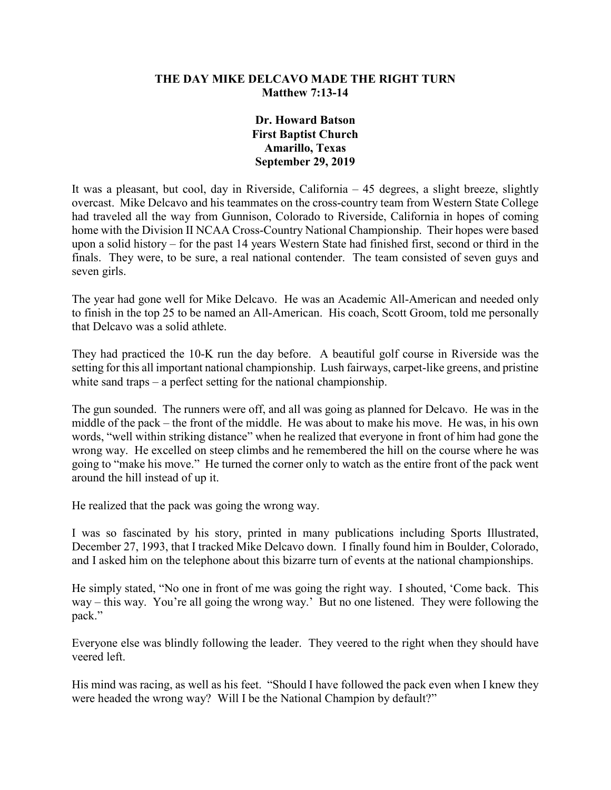### **THE DAY MIKE DELCAVO MADE THE RIGHT TURN Matthew 7:13-14**

### **Dr. Howard Batson First Baptist Church Amarillo, Texas September 29, 2019**

It was a pleasant, but cool, day in Riverside, California – 45 degrees, a slight breeze, slightly overcast. Mike Delcavo and his teammates on the cross-country team from Western State College had traveled all the way from Gunnison, Colorado to Riverside, California in hopes of coming home with the Division II NCAA Cross-Country National Championship. Their hopes were based upon a solid history – for the past 14 years Western State had finished first, second or third in the finals. They were, to be sure, a real national contender. The team consisted of seven guys and seven girls.

The year had gone well for Mike Delcavo. He was an Academic All-American and needed only to finish in the top 25 to be named an All-American. His coach, Scott Groom, told me personally that Delcavo was a solid athlete.

They had practiced the 10-K run the day before. A beautiful golf course in Riverside was the setting for this all important national championship. Lush fairways, carpet-like greens, and pristine white sand traps – a perfect setting for the national championship.

The gun sounded. The runners were off, and all was going as planned for Delcavo. He was in the middle of the pack – the front of the middle. He was about to make his move. He was, in his own words, "well within striking distance" when he realized that everyone in front of him had gone the wrong way. He excelled on steep climbs and he remembered the hill on the course where he was going to "make his move." He turned the corner only to watch as the entire front of the pack went around the hill instead of up it.

He realized that the pack was going the wrong way.

I was so fascinated by his story, printed in many publications including Sports Illustrated, December 27, 1993, that I tracked Mike Delcavo down. I finally found him in Boulder, Colorado, and I asked him on the telephone about this bizarre turn of events at the national championships.

He simply stated, "No one in front of me was going the right way. I shouted, 'Come back. This way – this way. You're all going the wrong way.' But no one listened. They were following the pack."

Everyone else was blindly following the leader. They veered to the right when they should have veered left.

His mind was racing, as well as his feet. "Should I have followed the pack even when I knew they were headed the wrong way? Will I be the National Champion by default?"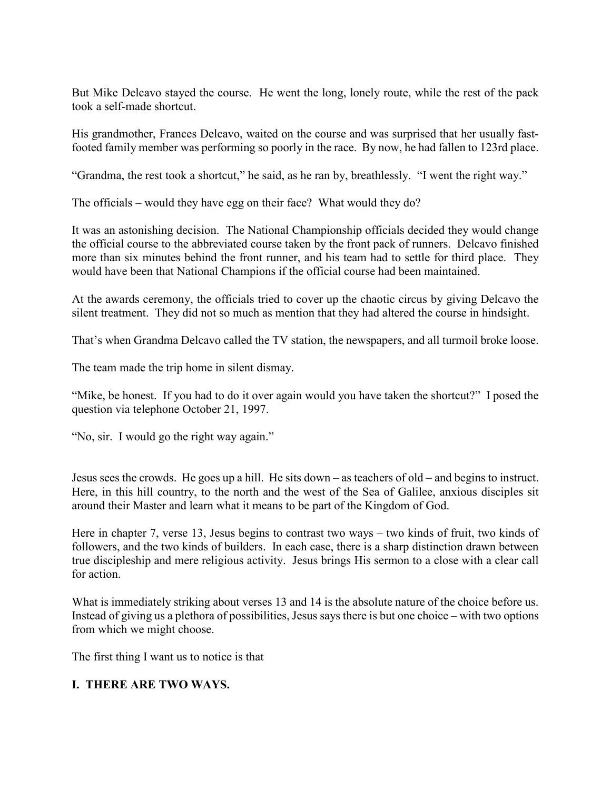But Mike Delcavo stayed the course. He went the long, lonely route, while the rest of the pack took a self-made shortcut.

His grandmother, Frances Delcavo, waited on the course and was surprised that her usually fastfooted family member was performing so poorly in the race. By now, he had fallen to 123rd place.

"Grandma, the rest took a shortcut," he said, as he ran by, breathlessly. "I went the right way."

The officials – would they have egg on their face? What would they do?

It was an astonishing decision. The National Championship officials decided they would change the official course to the abbreviated course taken by the front pack of runners. Delcavo finished more than six minutes behind the front runner, and his team had to settle for third place. They would have been that National Champions if the official course had been maintained.

At the awards ceremony, the officials tried to cover up the chaotic circus by giving Delcavo the silent treatment. They did not so much as mention that they had altered the course in hindsight.

That's when Grandma Delcavo called the TV station, the newspapers, and all turmoil broke loose.

The team made the trip home in silent dismay.

"Mike, be honest. If you had to do it over again would you have taken the shortcut?" I posed the question via telephone October 21, 1997.

"No, sir. I would go the right way again."

Jesus sees the crowds. He goes up a hill. He sits down – as teachers of old – and begins to instruct. Here, in this hill country, to the north and the west of the Sea of Galilee, anxious disciples sit around their Master and learn what it means to be part of the Kingdom of God.

Here in chapter 7, verse 13, Jesus begins to contrast two ways – two kinds of fruit, two kinds of followers, and the two kinds of builders. In each case, there is a sharp distinction drawn between true discipleship and mere religious activity. Jesus brings His sermon to a close with a clear call for action.

What is immediately striking about verses 13 and 14 is the absolute nature of the choice before us. Instead of giving us a plethora of possibilities, Jesus says there is but one choice – with two options from which we might choose.

The first thing I want us to notice is that

# **I. THERE ARE TWO WAYS.**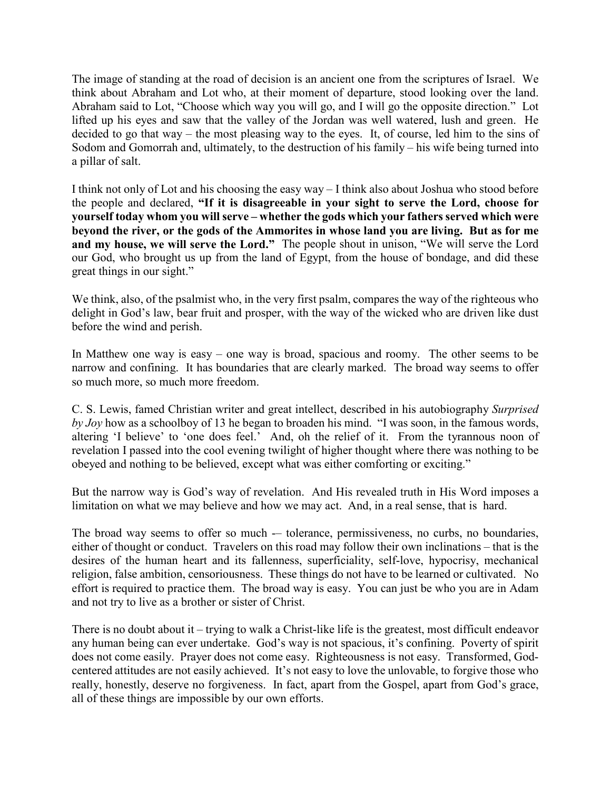The image of standing at the road of decision is an ancient one from the scriptures of Israel. We think about Abraham and Lot who, at their moment of departure, stood looking over the land. Abraham said to Lot, "Choose which way you will go, and I will go the opposite direction." Lot lifted up his eyes and saw that the valley of the Jordan was well watered, lush and green. He decided to go that way – the most pleasing way to the eyes. It, of course, led him to the sins of Sodom and Gomorrah and, ultimately, to the destruction of his family – his wife being turned into a pillar of salt.

I think not only of Lot and his choosing the easy way – I think also about Joshua who stood before the people and declared, **"If it is disagreeable in your sight to serve the Lord, choose for yourself today whom you will serve – whether the gods which your fathers served which were beyond the river, or the gods of the Ammorites in whose land you are living. But as for me and my house, we will serve the Lord."** The people shout in unison, "We will serve the Lord our God, who brought us up from the land of Egypt, from the house of bondage, and did these great things in our sight."

We think, also, of the psalmist who, in the very first psalm, compares the way of the righteous who delight in God's law, bear fruit and prosper, with the way of the wicked who are driven like dust before the wind and perish.

In Matthew one way is easy – one way is broad, spacious and roomy. The other seems to be narrow and confining. It has boundaries that are clearly marked. The broad way seems to offer so much more, so much more freedom.

C. S. Lewis, famed Christian writer and great intellect, described in his autobiography *Surprised by Joy* how as a schoolboy of 13 he began to broaden his mind. "I was soon, in the famous words, altering 'I believe' to 'one does feel.' And, oh the relief of it. From the tyrannous noon of revelation I passed into the cool evening twilight of higher thought where there was nothing to be obeyed and nothing to be believed, except what was either comforting or exciting."

But the narrow way is God's way of revelation. And His revealed truth in His Word imposes a limitation on what we may believe and how we may act. And, in a real sense, that is hard.

The broad way seems to offer so much -- tolerance, permissiveness, no curbs, no boundaries, either of thought or conduct. Travelers on this road may follow their own inclinations – that is the desires of the human heart and its fallenness, superficiality, self-love, hypocrisy, mechanical religion, false ambition, censoriousness. These things do not have to be learned or cultivated. No effort is required to practice them. The broad way is easy. You can just be who you are in Adam and not try to live as a brother or sister of Christ.

There is no doubt about it – trying to walk a Christ-like life is the greatest, most difficult endeavor any human being can ever undertake. God's way is not spacious, it's confining. Poverty of spirit does not come easily. Prayer does not come easy. Righteousness is not easy. Transformed, Godcentered attitudes are not easily achieved. It's not easy to love the unlovable, to forgive those who really, honestly, deserve no forgiveness. In fact, apart from the Gospel, apart from God's grace, all of these things are impossible by our own efforts.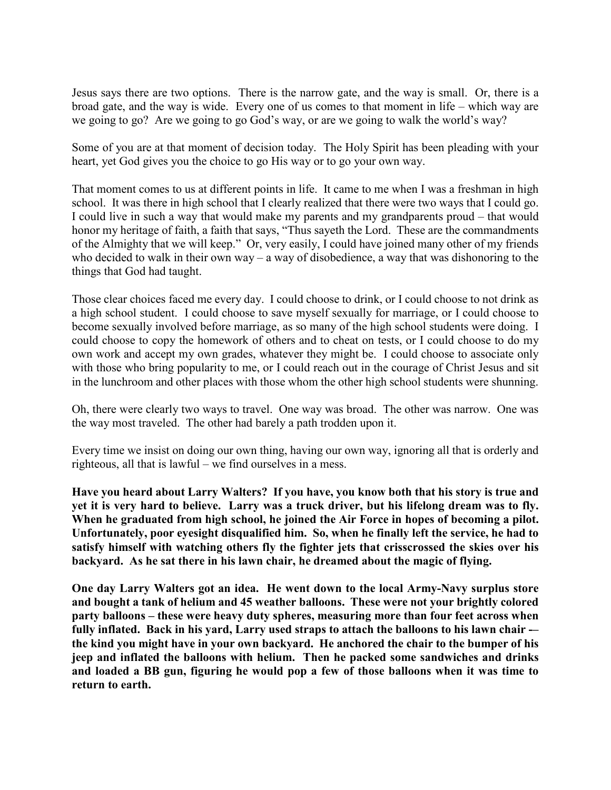Jesus says there are two options. There is the narrow gate, and the way is small. Or, there is a broad gate, and the way is wide. Every one of us comes to that moment in life – which way are we going to go? Are we going to go God's way, or are we going to walk the world's way?

Some of you are at that moment of decision today. The Holy Spirit has been pleading with your heart, yet God gives you the choice to go His way or to go your own way.

That moment comes to us at different points in life. It came to me when I was a freshman in high school. It was there in high school that I clearly realized that there were two ways that I could go. I could live in such a way that would make my parents and my grandparents proud – that would honor my heritage of faith, a faith that says, "Thus sayeth the Lord. These are the commandments of the Almighty that we will keep." Or, very easily, I could have joined many other of my friends who decided to walk in their own way – a way of disobedience, a way that was dishonoring to the things that God had taught.

Those clear choices faced me every day. I could choose to drink, or I could choose to not drink as a high school student. I could choose to save myself sexually for marriage, or I could choose to become sexually involved before marriage, as so many of the high school students were doing. I could choose to copy the homework of others and to cheat on tests, or I could choose to do my own work and accept my own grades, whatever they might be. I could choose to associate only with those who bring popularity to me, or I could reach out in the courage of Christ Jesus and sit in the lunchroom and other places with those whom the other high school students were shunning.

Oh, there were clearly two ways to travel. One way was broad. The other was narrow. One was the way most traveled. The other had barely a path trodden upon it.

Every time we insist on doing our own thing, having our own way, ignoring all that is orderly and righteous, all that is lawful – we find ourselves in a mess.

**Have you heard about Larry Walters? If you have, you know both that his story is true and yet it is very hard to believe. Larry was a truck driver, but his lifelong dream was to fly. When he graduated from high school, he joined the Air Force in hopes of becoming a pilot. Unfortunately, poor eyesight disqualified him. So, when he finally left the service, he had to satisfy himself with watching others fly the fighter jets that crisscrossed the skies over his backyard. As he sat there in his lawn chair, he dreamed about the magic of flying.**

**One day Larry Walters got an idea. He went down to the local Army-Navy surplus store and bought a tank of helium and 45 weather balloons. These were not your brightly colored party balloons – these were heavy duty spheres, measuring more than four feet across when fully inflated. Back in his yard, Larry used straps to attach the balloons to his lawn chair -– the kind you might have in your own backyard. He anchored the chair to the bumper of his jeep and inflated the balloons with helium. Then he packed some sandwiches and drinks and loaded a BB gun, figuring he would pop a few of those balloons when it was time to return to earth.**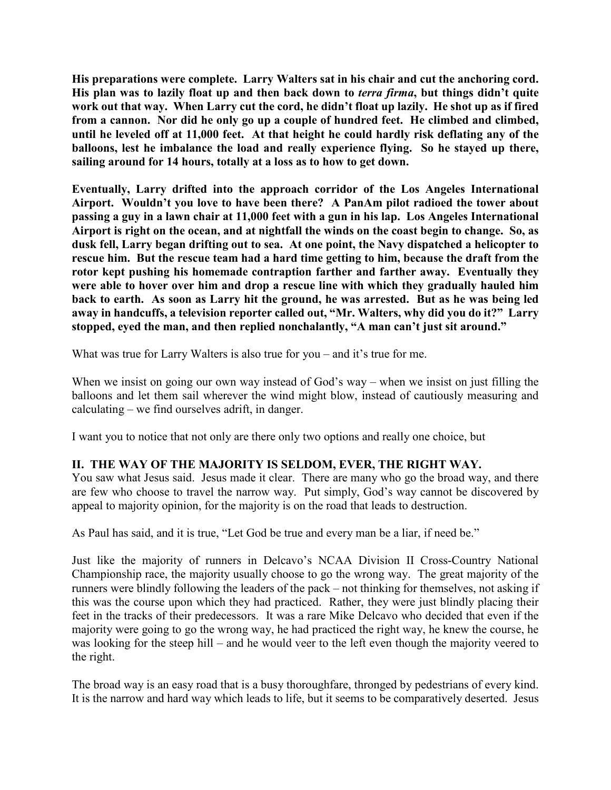**His preparations were complete. Larry Walters sat in his chair and cut the anchoring cord. His plan was to lazily float up and then back down to** *terra firma***, but things didn't quite work out that way. When Larry cut the cord, he didn't float up lazily. He shot up as if fired from a cannon. Nor did he only go up a couple of hundred feet. He climbed and climbed, until he leveled off at 11,000 feet. At that height he could hardly risk deflating any of the balloons, lest he imbalance the load and really experience flying. So he stayed up there, sailing around for 14 hours, totally at a loss as to how to get down.**

**Eventually, Larry drifted into the approach corridor of the Los Angeles International Airport. Wouldn't you love to have been there? A PanAm pilot radioed the tower about passing a guy in a lawn chair at 11,000 feet with a gun in his lap. Los Angeles International Airport is right on the ocean, and at nightfall the winds on the coast begin to change. So, as dusk fell, Larry began drifting out to sea. At one point, the Navy dispatched a helicopter to rescue him. But the rescue team had a hard time getting to him, because the draft from the rotor kept pushing his homemade contraption farther and farther away. Eventually they were able to hover over him and drop a rescue line with which they gradually hauled him back to earth. As soon as Larry hit the ground, he was arrested. But as he was being led away in handcuffs, a television reporter called out, "Mr. Walters, why did you do it?" Larry stopped, eyed the man, and then replied nonchalantly, "A man can't just sit around."**

What was true for Larry Walters is also true for you – and it's true for me.

When we insist on going our own way instead of God's way – when we insist on just filling the balloons and let them sail wherever the wind might blow, instead of cautiously measuring and calculating – we find ourselves adrift, in danger.

I want you to notice that not only are there only two options and really one choice, but

# **II. THE WAY OF THE MAJORITY IS SELDOM, EVER, THE RIGHT WAY.**

You saw what Jesus said. Jesus made it clear. There are many who go the broad way, and there are few who choose to travel the narrow way. Put simply, God's way cannot be discovered by appeal to majority opinion, for the majority is on the road that leads to destruction.

As Paul has said, and it is true, "Let God be true and every man be a liar, if need be."

Just like the majority of runners in Delcavo's NCAA Division II Cross-Country National Championship race, the majority usually choose to go the wrong way. The great majority of the runners were blindly following the leaders of the pack – not thinking for themselves, not asking if this was the course upon which they had practiced. Rather, they were just blindly placing their feet in the tracks of their predecessors. It was a rare Mike Delcavo who decided that even if the majority were going to go the wrong way, he had practiced the right way, he knew the course, he was looking for the steep hill – and he would veer to the left even though the majority veered to the right.

The broad way is an easy road that is a busy thoroughfare, thronged by pedestrians of every kind. It is the narrow and hard way which leads to life, but it seems to be comparatively deserted. Jesus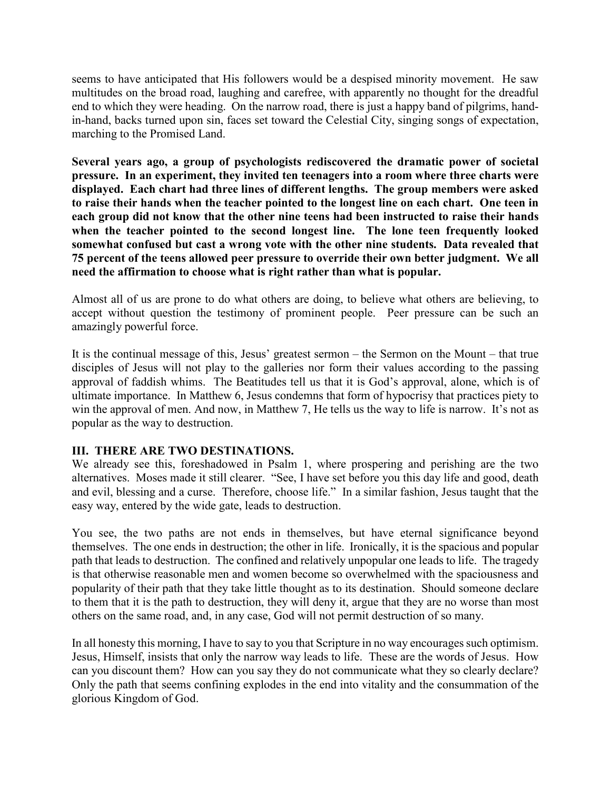seems to have anticipated that His followers would be a despised minority movement. He saw multitudes on the broad road, laughing and carefree, with apparently no thought for the dreadful end to which they were heading. On the narrow road, there is just a happy band of pilgrims, handin-hand, backs turned upon sin, faces set toward the Celestial City, singing songs of expectation, marching to the Promised Land.

**Several years ago, a group of psychologists rediscovered the dramatic power of societal pressure. In an experiment, they invited ten teenagers into a room where three charts were displayed. Each chart had three lines of different lengths. The group members were asked to raise their hands when the teacher pointed to the longest line on each chart. One teen in each group did not know that the other nine teens had been instructed to raise their hands when the teacher pointed to the second longest line. The lone teen frequently looked somewhat confused but cast a wrong vote with the other nine students. Data revealed that 75 percent of the teens allowed peer pressure to override their own better judgment. We all need the affirmation to choose what is right rather than what is popular.**

Almost all of us are prone to do what others are doing, to believe what others are believing, to accept without question the testimony of prominent people. Peer pressure can be such an amazingly powerful force.

It is the continual message of this, Jesus' greatest sermon – the Sermon on the Mount – that true disciples of Jesus will not play to the galleries nor form their values according to the passing approval of faddish whims. The Beatitudes tell us that it is God's approval, alone, which is of ultimate importance. In Matthew 6, Jesus condemns that form of hypocrisy that practices piety to win the approval of men. And now, in Matthew 7, He tells us the way to life is narrow. It's not as popular as the way to destruction.

# **III. THERE ARE TWO DESTINATIONS.**

We already see this, foreshadowed in Psalm 1, where prospering and perishing are the two alternatives. Moses made it still clearer. "See, I have set before you this day life and good, death and evil, blessing and a curse. Therefore, choose life." In a similar fashion, Jesus taught that the easy way, entered by the wide gate, leads to destruction.

You see, the two paths are not ends in themselves, but have eternal significance beyond themselves. The one ends in destruction; the other in life. Ironically, it is the spacious and popular path that leads to destruction. The confined and relatively unpopular one leads to life. The tragedy is that otherwise reasonable men and women become so overwhelmed with the spaciousness and popularity of their path that they take little thought as to its destination. Should someone declare to them that it is the path to destruction, they will deny it, argue that they are no worse than most others on the same road, and, in any case, God will not permit destruction of so many.

In all honesty this morning, I have to say to you that Scripture in no way encourages such optimism. Jesus, Himself, insists that only the narrow way leads to life. These are the words of Jesus. How can you discount them? How can you say they do not communicate what they so clearly declare? Only the path that seems confining explodes in the end into vitality and the consummation of the glorious Kingdom of God.